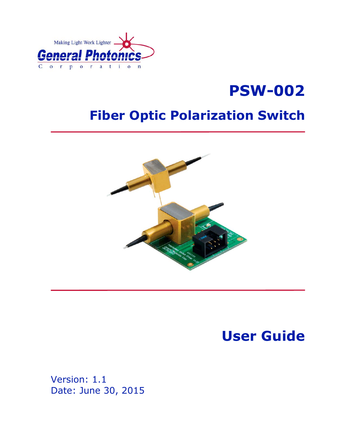

# **PSW-002**

## **Fiber Optic Polarization Switch**



**User Guide** 

Version: 1.1 Date: June 30, 2015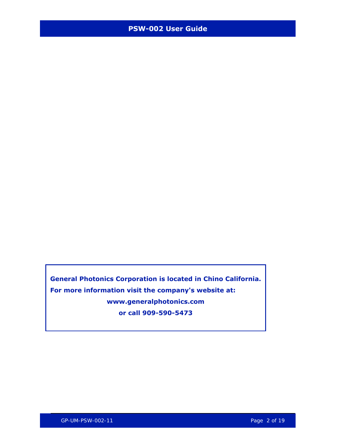**General Photonics Corporation is located in Chino California. For more information visit the company's website at: www.generalphotonics.com or call 909-590-5473**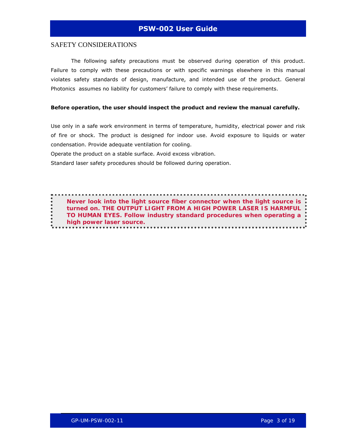#### SAFETY CONSIDERATIONS

The following safety precautions must be observed during operation of this product. Failure to comply with these precautions or with specific warnings elsewhere in this manual violates safety standards of design, manufacture, and intended use of the product. General Photonics assumes no liability for customers' failure to comply with these requirements.

#### **Before operation, the user should inspect the product and review the manual carefully.**

Use only in a safe work environment in terms of temperature, humidity, electrical power and risk of fire or shock. The product is designed for indoor use. Avoid exposure to liquids or water condensation. Provide adequate ventilation for cooling.

Operate the product on a stable surface. Avoid excess vibration.

Standard laser safety procedures should be followed during operation.

*Never look into the light source fiber connector when the light source is turned on. THE OUTPUT LIGHT FROM A HIGH POWER LASER IS HARMFUL TO HUMAN EYES. Follow industry standard procedures when operating a high power laser source.*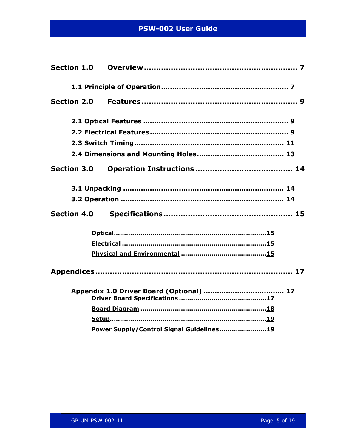| <b>Section 1.0</b> |                                          |
|--------------------|------------------------------------------|
|                    |                                          |
| <b>Section 2.0</b> |                                          |
|                    |                                          |
|                    |                                          |
|                    |                                          |
|                    |                                          |
| <b>Section 3.0</b> |                                          |
|                    |                                          |
|                    |                                          |
| <b>Section 4.0</b> |                                          |
|                    |                                          |
|                    |                                          |
|                    |                                          |
|                    |                                          |
|                    |                                          |
|                    |                                          |
|                    |                                          |
|                    | Power Supply/Control Signal Guidelines19 |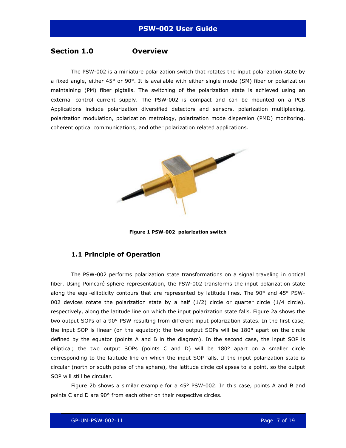#### <span id="page-6-0"></span>**Section 1.0 Overview**

The PSW-002 is a miniature polarization switch that rotates the input polarization state by a fixed angle, either 45° or 90°. It is available with either single mode (SM) fiber or polarization maintaining (PM) fiber pigtails. The switching of the polarization state is achieved using an external control current supply. The PSW-002 is compact and can be mounted on a PCB Applications include polarization diversified detectors and sensors, polarization multiplexing, polarization modulation, polarization metrology, polarization mode dispersion (PMD) monitoring, coherent optical communications, and other polarization related applications.



**Figure 1 PSW-002 polarization switch** 

#### **1.1 Principle of Operation**

The PSW-002 performs polarization state transformations on a signal traveling in optical fiber. Using Poincaré sphere representation, the PSW-002 transforms the input polarization state along the equi-ellipticity contours that are represented by latitude lines. The 90° and 45° PSW-002 devices rotate the polarization state by a half  $(1/2)$  circle or quarter circle  $(1/4$  circle), respectively, along the latitude line on which the input polarization state falls. [Figure 2](#page-7-0)a shows the two output SOPs of a 90° PSW resulting from different input polarization states. In the first case, the input SOP is linear (on the equator); the two output SOPs will be 180° apart on the circle defined by the equator (points A and B in the diagram). In the second case, the input SOP is elliptical; the two output SOPs (points C and D) will be  $180^\circ$  apart on a smaller circle corresponding to the latitude line on which the input SOP falls. If the input polarization state is circular (north or south poles of the sphere), the latitude circle collapses to a point, so the output SOP will still be circular.

[Figure 2](#page-7-0)b shows a similar example for a 45° PSW-002. In this case, points A and B and points C and D are 90° from each other on their respective circles.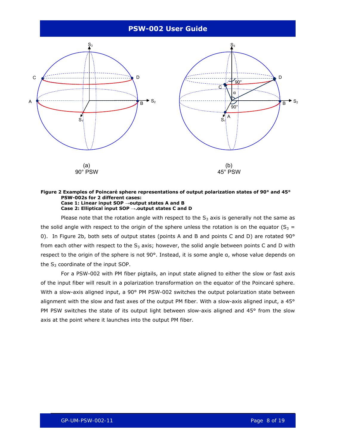

#### <span id="page-7-0"></span>**Figure 2 Examples of Poincaré sphere representations of output polarization states of 90° and 45° PSW-002s for 2 different cases: Case 1: Linear input SOP →output states A and B Case 2: Elliptical input SOP →.output states C and D**

Please note that the rotation angle with respect to the  $S_3$  axis is generally not the same as the solid angle with respect to the origin of the sphere unless the rotation is on the equator ( $S_3$  = 0). In [Figure 2](#page-7-0)b, both sets of output states (points A and B and points C and D) are rotated 90° from each other with respect to the  $S_3$  axis; however, the solid angle between points C and D with respect to the origin of the sphere is not 90°. Instead, it is some angle α, whose value depends on the  $S_3$  coordinate of the input SOP.

For a PSW-002 with PM fiber pigtails, an input state aligned to either the slow or fast axis of the input fiber will result in a polarization transformation on the equator of the Poincaré sphere. With a slow-axis aligned input, a 90° PM PSW-002 switches the output polarization state between alignment with the slow and fast axes of the output PM fiber. With a slow-axis aligned input, a 45° PM PSW switches the state of its output light between slow-axis aligned and 45° from the slow axis at the point where it launches into the output PM fiber.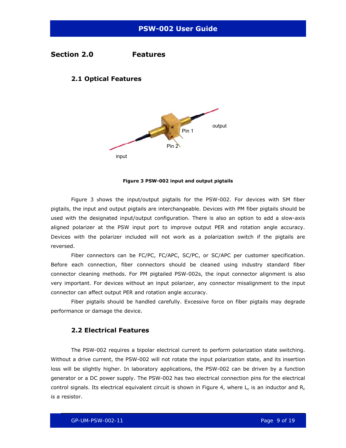#### <span id="page-8-0"></span>**Section 2.0 Features**

#### **2.1 Optical Features**



#### **Figure 3 PSW-002 input and output pigtails**

<span id="page-8-1"></span>[Figure 3](#page-8-1) shows the input/output pigtails for the PSW-002. For devices with SM fiber pigtails, the input and output pigtails are interchangeable. Devices with PM fiber pigtails should be used with the designated input/output configuration. There is also an option to add a slow-axis aligned polarizer at the PSW input port to improve output PER and rotation angle accuracy. Devices with the polarizer included will not work as a polarization switch if the pigtails are reversed.

Fiber connectors can be FC/PC, FC/APC, SC/PC, or SC/APC per customer specification. Before each connection, fiber connectors should be cleaned using industry standard fiber connector cleaning methods. For PM pigtailed PSW-002s, the input connector alignment is also very important. For devices without an input polarizer, any connector misalignment to the input connector can affect output PER and rotation angle accuracy.

Fiber pigtails should be handled carefully. Excessive force on fiber pigtails may degrade performance or damage the device.

#### **2.2 Electrical Features**

The PSW-002 requires a bipolar electrical current to perform polarization state switching. Without a drive current, the PSW-002 will not rotate the input polarization state, and its insertion loss will be slightly higher. In laboratory applications, the PSW-002 can be driven by a function generator or a DC power supply. The PSW-002 has two electrical connection pins for the electrical control signals. Its electrical equivalent circuit is shown in [Figure 4](#page-9-0), where  $L_c$  is an inductor and  $R_c$ is a resistor.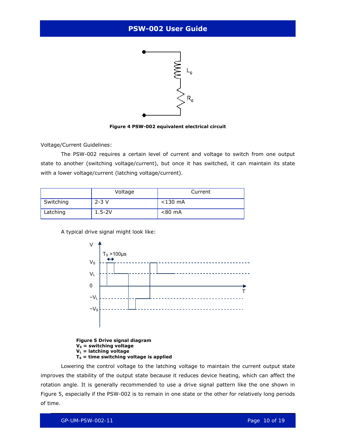

**Figure 4 PSW-002 equivalent electrical circuit** 

<span id="page-9-0"></span>Voltage/Current Guidelines:

The PSW-002 requires a certain level of current and voltage to switch from one output state to another (switching voltage/current), but once it has switched, it can maintain its state with a lower voltage/current (latching voltage/current).

|           | Voltage    | Current    |
|-----------|------------|------------|
| Switching | $2 - 3V$   | $<$ 130 mA |
| Latching  | $1.5 - 2V$ | $< 80$ mA  |

A typical drive signal might look like:



**Figure 5 Drive signal diagram V<sub>S</sub>** = switching voltage **VL = latching voltage**   $T<sub>S</sub>$  = time switching voltage is applied

<span id="page-9-1"></span>Lowering the control voltage to the latching voltage to maintain the current output state improves the stability of the output state because it reduces device heating, which can affect the rotation angle. It is generally recommended to use a drive signal pattern like the one shown in [Figure 5](#page-9-1), especially if the PSW-002 is to remain in one state or the other for relatively long periods of time.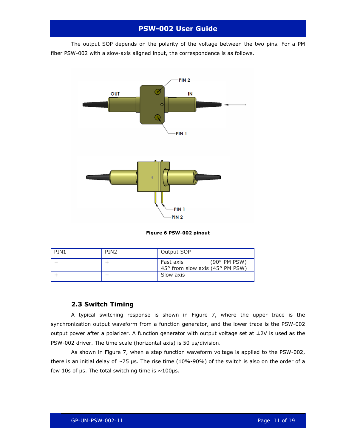<span id="page-10-0"></span>The output SOP depends on the polarity of the voltage between the two pins. For a PM fiber PSW-002 with a slow-axis aligned input, the correspondence is as follows.



**Figure 6 PSW-002 pinout** 

| PIN <sub>1</sub> | PIN <sub>2</sub> | Output SOP                                                            |
|------------------|------------------|-----------------------------------------------------------------------|
|                  |                  | $(90^{\circ}$ PM PSW)<br>Fast axis<br>45° from slow axis (45° PM PSW) |
|                  |                  | Slow axis                                                             |

#### **2.3 Switch Timing**

A typical switching response is shown in [Figure 7](#page-11-0), where the upper trace is the synchronization output waveform from a function generator, and the lower trace is the PSW-002 output power after a polarizer. A function generator with output voltage set at  $\pm 2V$  is used as the PSW-002 driver. The time scale (horizontal axis) is 50 µs/division.

As shown in [Figure 7](#page-11-0), when a step function waveform voltage is applied to the PSW-002, there is an initial delay of  $\sim$ 75 µs. The rise time (10%-90%) of the switch is also on the order of a few 10s of  $\mu$ s. The total switching time is  $\sim$ 100 $\mu$ s.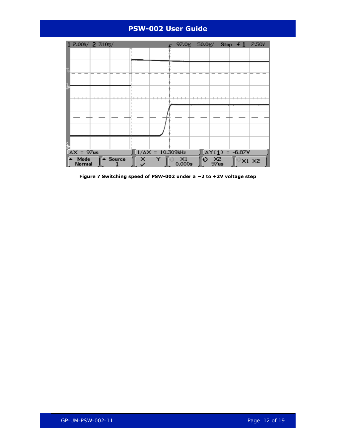

<span id="page-11-0"></span>**Figure 7 Switching speed of PSW-002 under a −2 to +2V voltage step**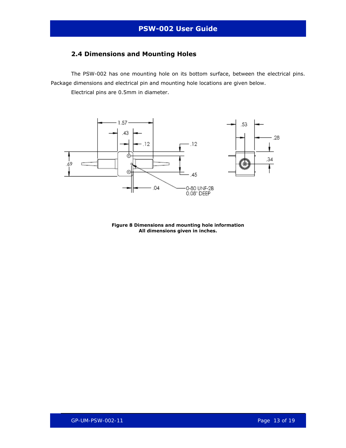### <span id="page-12-0"></span>**2.4 Dimensions and Mounting Holes**

The PSW-002 has one mounting hole on its bottom surface, between the electrical pins. Package dimensions and electrical pin and mounting hole locations are given below.

Electrical pins are 0.5mm in diameter.



**Figure 8 Dimensions and mounting hole information All dimensions given in inches.**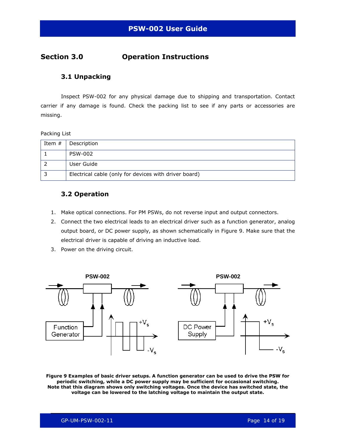### <span id="page-13-0"></span>**Section 3.0 Operation Instructions**

#### **3.1 Unpacking**

Inspect PSW-002 for any physical damage due to shipping and transportation. Contact carrier if any damage is found. Check the packing list to see if any parts or accessories are missing.

#### Packing List

| Item $#$ | Description                                           |
|----------|-------------------------------------------------------|
|          | <b>PSW-002</b>                                        |
|          | User Guide                                            |
|          | Electrical cable (only for devices with driver board) |

#### **3.2 Operation**

- 1. Make optical connections. For PM PSWs, do not reverse input and output connectors.
- 2. Connect the two electrical leads to an electrical driver such as a function generator, analog output board, or DC power supply, as shown schematically in [Figure 9](#page-13-1). Make sure that the electrical driver is capable of driving an inductive load.
- 3. Power on the driving circuit.



<span id="page-13-1"></span>**Figure 9 Examples of basic driver setups. A function generator can be used to drive the PSW for periodic switching, while a DC power supply may be sufficient for occasional switching. Note that this diagram shows only switching voltages. Once the device has switched state, the voltage can be lowered to the latching voltage to maintain the output state.**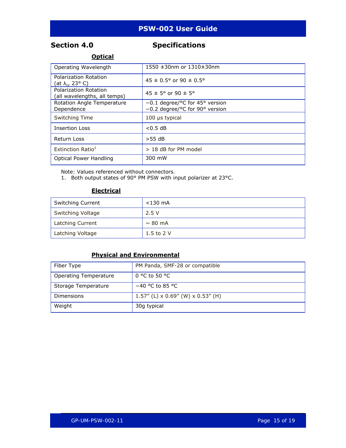### <span id="page-14-0"></span>**Section 4.0 Specifications**

#### **Optical**

| Operating Wavelength                                  | 1550 ±30nm or 1310±30nm                                                                     |  |
|-------------------------------------------------------|---------------------------------------------------------------------------------------------|--|
| Polarization Rotation<br>(at λ <sub>c</sub> , 23° C)  | $45 \pm 0.5^{\circ}$ or 90 $\pm 0.5^{\circ}$                                                |  |
| Polarization Rotation<br>(all wavelengths, all temps) | $45 \pm 5^{\circ}$ or 90 $\pm 5^{\circ}$                                                    |  |
| Rotation Angle Temperature<br>Dependence              | $-0.1$ degree/ <sup>o</sup> C for 45 <sup>o</sup> version<br>-0.2 degree/°C for 90° version |  |
| Switching Time                                        | $100$ µs typical                                                                            |  |
| <b>Insertion Loss</b>                                 | < 0.5 dB                                                                                    |  |
| Return Loss                                           | $>55$ dB                                                                                    |  |
| Extinction Ratio <sup>1</sup>                         | > 18 dB for PM model                                                                        |  |
| Optical Power Handling                                | 300 mW                                                                                      |  |

Note: Values referenced without connectors.

1. Both output states of 90° PM PSW with input polarizer at 23°C.

#### **Electrical**

| <b>Switching Current</b> | $<$ 130 mA   |
|--------------------------|--------------|
| Switching Voltage        | 2.5V         |
| Latching Current         | $\sim$ 80 mA |
| Latching Voltage         | 1.5 to 2 $V$ |

### **Physical and Environmental**

| Fiber Type            | PM Panda, SMF-28 or compatible                  |
|-----------------------|-------------------------------------------------|
| Operating Temperature | $0^{\circ}$ C to 50 $^{\circ}$ C                |
| Storage Temperature   | $-40$ °C to 85 °C                               |
| Dimensions            | 1.57" (L) $\times$ 0.69" (W) $\times$ 0.53" (H) |
| Weight                | 30g typical                                     |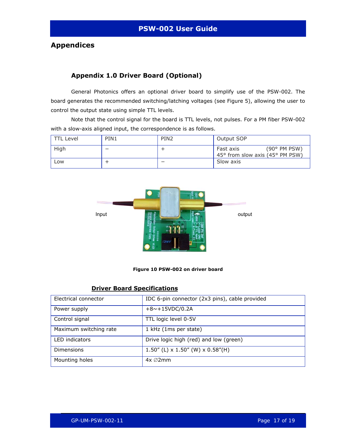### <span id="page-16-0"></span>**Appendices**

### **Appendix 1.0 Driver Board (Optional)**

General Photonics offers an optional driver board to simplify use of the PSW-002. The board generates the recommended switching/latching voltages (see [Figure 5](#page-9-1)), allowing the user to control the output state using simple TTL levels.

Note that the control signal for the board is TTL levels, not pulses. For a PM fiber PSW-002 with a slow-axis aligned input, the correspondence is as follows.

| TTL Level | PIN1 | PIN <sub>2</sub> | Output SOP                                                   |
|-----------|------|------------------|--------------------------------------------------------------|
| High      | –    |                  | (90° PM PSW)<br>Fast axis<br>45° from slow axis (45° PM PSW) |
| LOW       |      | –                | Slow axis                                                    |



#### **Figure 10 PSW-002 on driver board**

#### **Driver Board Specifications**

| Electrical connector   | IDC 6-pin connector (2x3 pins), cable provided |
|------------------------|------------------------------------------------|
| Power supply           | $+8$ ~+15VDC/0.2A                              |
| Control signal         | TTL logic level 0-5V                           |
| Maximum switching rate | 1 kHz (1ms per state)                          |
| <b>LED</b> indicators  | Drive logic high (red) and low (green)         |
| <b>Dimensions</b>      | 1.50" (L) $\times$ 1.50" (W) $\times$ 0.58"(H) |
| Mounting holes         | $4x \oslash 2mm$                               |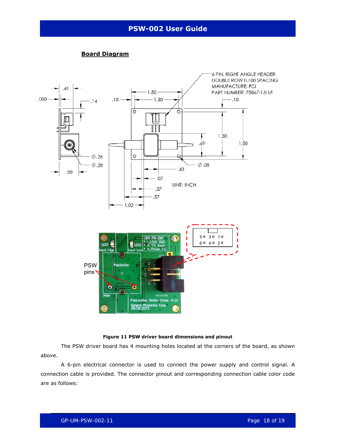<span id="page-17-0"></span>

#### **Board Diagram**



The PSW driver board has 4 mounting holes located at the corners of the board, as shown above.

A 6-pin electrical connector is used to connect the power supply and control signal. A connection cable is provided. The connector pinout and corresponding connection cable color code are as follows: